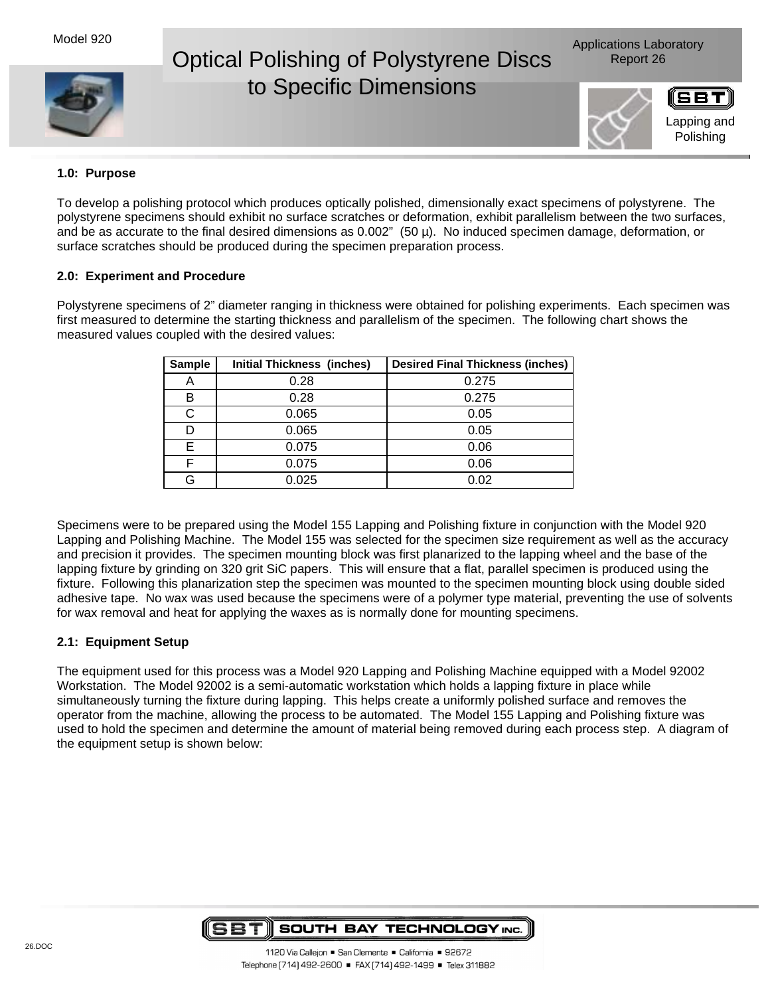# Optical Polishing of Polystyrene Discs Report 26 to Specific Dimensions



# **1.0: Purpose**

To develop a polishing protocol which produces optically polished, dimensionally exact specimens of polystyrene. The polystyrene specimens should exhibit no surface scratches or deformation, exhibit parallelism between the two surfaces, and be as accurate to the final desired dimensions as  $0.002$ " (50  $\mu$ ). No induced specimen damage, deformation, or surface scratches should be produced during the specimen preparation process.

### **2.0: Experiment and Procedure**

Polystyrene specimens of 2" diameter ranging in thickness were obtained for polishing experiments. Each specimen was first measured to determine the starting thickness and parallelism of the specimen. The following chart shows the measured values coupled with the desired values:

| <b>Sample</b> | <b>Initial Thickness (inches)</b> | <b>Desired Final Thickness (inches)</b> |
|---------------|-----------------------------------|-----------------------------------------|
| A             | 0.28                              | 0.275                                   |
| в             | 0.28                              | 0.275                                   |
| C             | 0.065                             | 0.05                                    |
| D             | 0.065                             | 0.05                                    |
| F.            | 0.075                             | 0.06                                    |
| E             | 0.075                             | 0.06                                    |
| G             | 0.025                             | 0.02                                    |

Specimens were to be prepared using the Model 155 Lapping and Polishing fixture in conjunction with the Model 920 Lapping and Polishing Machine. The Model 155 was selected for the specimen size requirement as well as the accuracy and precision it provides. The specimen mounting block was first planarized to the lapping wheel and the base of the lapping fixture by grinding on 320 grit SiC papers. This will ensure that a flat, parallel specimen is produced using the fixture. Following this planarization step the specimen was mounted to the specimen mounting block using double sided adhesive tape. No wax was used because the specimens were of a polymer type material, preventing the use of solvents for wax removal and heat for applying the waxes as is normally done for mounting specimens.

## **2.1: Equipment Setup**

The equipment used for this process was a Model 920 Lapping and Polishing Machine equipped with a Model 92002 Workstation. The Model 92002 is a semi-automatic workstation which holds a lapping fixture in place while simultaneously turning the fixture during lapping. This helps create a uniformly polished surface and removes the operator from the machine, allowing the process to be automated. The Model 155 Lapping and Polishing fixture was used to hold the specimen and determine the amount of material being removed during each process step. A diagram of the equipment setup is shown below:

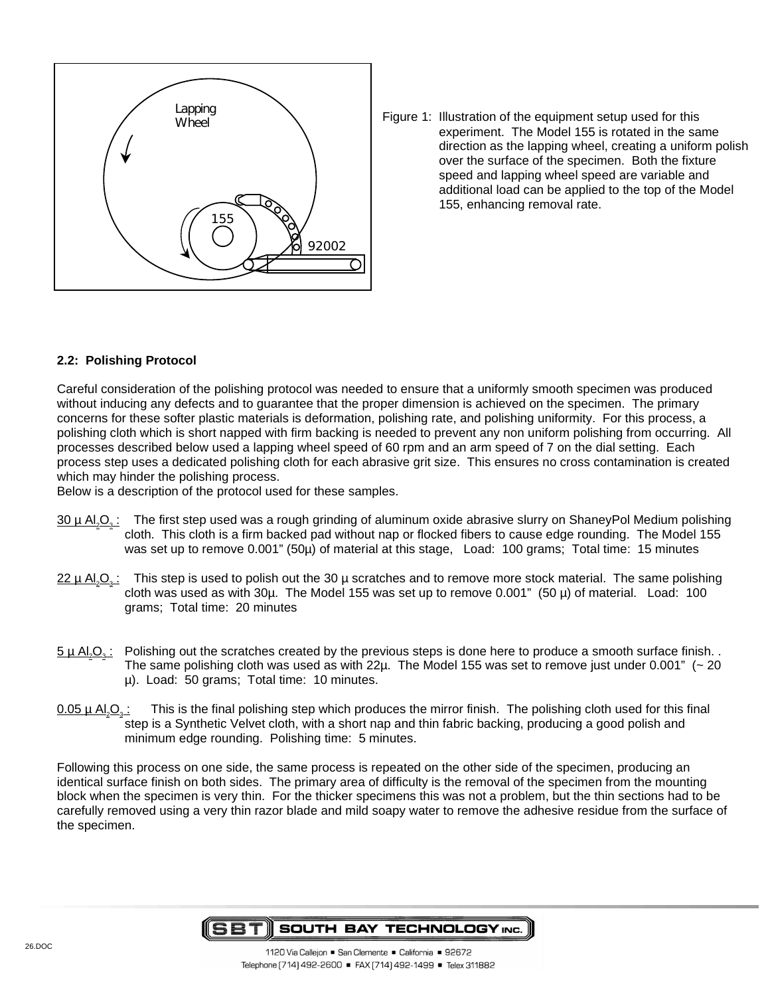

Figure 1: Illustration of the equipment setup used for this experiment. The Model 155 is rotated in the same direction as the lapping wheel, creating a uniform polish over the surface of the specimen. Both the fixture speed and lapping wheel speed are variable and additional load can be applied to the top of the Model 155, enhancing removal rate.

## **2.2: Polishing Protocol**

Careful consideration of the polishing protocol was needed to ensure that a uniformly smooth specimen was produced without inducing any defects and to guarantee that the proper dimension is achieved on the specimen. The primary concerns for these softer plastic materials is deformation, polishing rate, and polishing uniformity. For this process, a polishing cloth which is short napped with firm backing is needed to prevent any non uniform polishing from occurring. All processes described below used a lapping wheel speed of 60 rpm and an arm speed of 7 on the dial setting. Each process step uses a dedicated polishing cloth for each abrasive grit size. This ensures no cross contamination is created which may hinder the polishing process.

Below is a description of the protocol used for these samples.

- $30 \mu$  Al<sub>2</sub>O<sub>3</sub>: The first step used was a rough grinding of aluminum oxide abrasive slurry on ShaneyPol Medium polishing cloth. This cloth is a firm backed pad without nap or flocked fibers to cause edge rounding. The Model 155 was set up to remove 0.001" (50µ) of material at this stage, Load: 100 grams; Total time: 15 minutes
- $22 \mu$  Al<sub>2</sub>O<sub>3</sub>: This step is used to polish out the 30 µ scratches and to remove more stock material. The same polishing cloth was used as with 30µ. The Model 155 was set up to remove 0.001" (50 µ) of material. Load: 100 grams; Total time: 20 minutes
- $5 \mu$  Al<sub>2</sub>O<sub>3</sub>: Polishing out the scratches created by the previous steps is done here to produce a smooth surface finish. The same polishing cloth was used as with 22 $\mu$ . The Model 155 was set to remove just under 0.001" ( $\sim$  20 µ). Load: 50 grams; Total time: 10 minutes.
- $0.05 \mu$  Al<sub>2</sub>O<sub>3</sub>: This is the final polishing step which produces the mirror finish. The polishing cloth used for this final step is a Synthetic Velvet cloth, with a short nap and thin fabric backing, producing a good polish and minimum edge rounding. Polishing time: 5 minutes.

Following this process on one side, the same process is repeated on the other side of the specimen, producing an identical surface finish on both sides. The primary area of difficulty is the removal of the specimen from the mounting block when the specimen is very thin. For the thicker specimens this was not a problem, but the thin sections had to be carefully removed using a very thin razor blade and mild soapy water to remove the adhesive residue from the surface of the specimen.